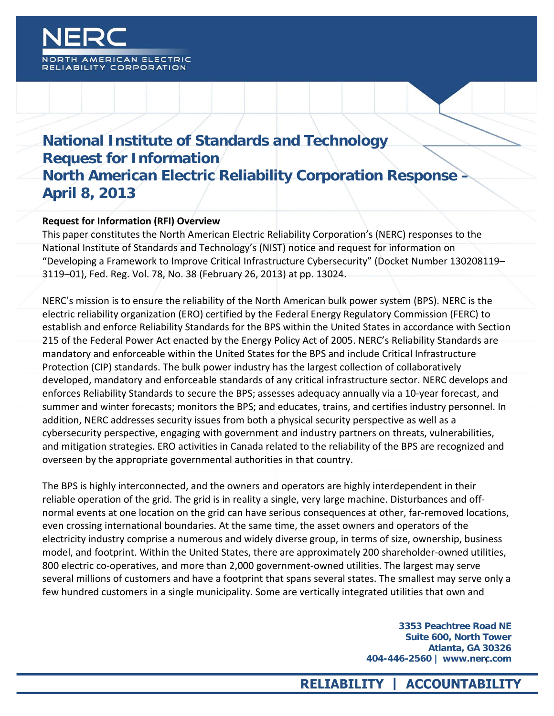

# **National Institute of Standards and Technology Request for Information North American Electric Reliability Corporation Response – April 8, 2013**

#### **Request for Information (RFI) Overview**

This paper constitutes the North American Electric Reliability Corporation's (NERC) responses to the National Institute of Standards and Technology's (NIST) notice and request for information on "Developing a Framework to Improve Critical Infrastructure Cybersecurity" (Docket Number 130208119– 3119–01), Fed. Reg. Vol. 78, No. 38 (February 26, 2013) at pp. 13024.

NERC's mission is to ensure the reliability of the North American bulk power system (BPS). NERC is the electric reliability organization (ERO) certified by the Federal Energy Regulatory Commission (FERC) to establish and enforce Reliability Standards for the BPS within the United States in accordance with Section 215 of the Federal Power Act enacted by the Energy Policy Act of 2005. NERC's Reliability Standards are mandatory and enforceable within the United States for the BPS and include Critical Infrastructure Protection (CIP) standards. The bulk power industry has the largest collection of collaboratively developed, mandatory and enforceable standards of any critical infrastructure sector. NERC develops and enforces Reliability Standards to secure the BPS; assesses adequacy annually via a 10-year forecast, and summer and winter forecasts; monitors the BPS; and educates, trains, and certifies industry personnel. In addition, NERC addresses security issues from both a physical security perspective as well as a cybersecurity perspective, engaging with government and industry partners on threats, vulnerabilities, and mitigation strategies. ERO activities in Canada related to the reliability of the BPS are recognized and overseen by the appropriate governmental authorities in that country.

The BPS is highly interconnected, and the owners and operators are highly interdependent in their reliable operation of the grid. The grid is in reality a single, very large machine. Disturbances and offnormal events at one location on the grid can have serious consequences at other, far-removed locations, even crossing international boundaries. At the same time, the asset owners and operators of the electricity industry comprise a numerous and widely diverse group, in terms of size, ownership, business model, and footprint. Within the United States, there are approximately 200 shareholder-owned utilities, 800 electric co-operatives, and more than 2,000 government-owned utilities. The largest may serve several millions of customers and have a footprint that spans several states. The smallest may serve only a few hundred customers in a single municipality. Some are vertically integrated utilities that own and

> **3353 Peachtree Road NE Suite 600, North Tower Atlanta, GA 30326 404-446-2560 | www.nerc.com** 1

#### **RELIABILITY | ACCOUNTABILITY**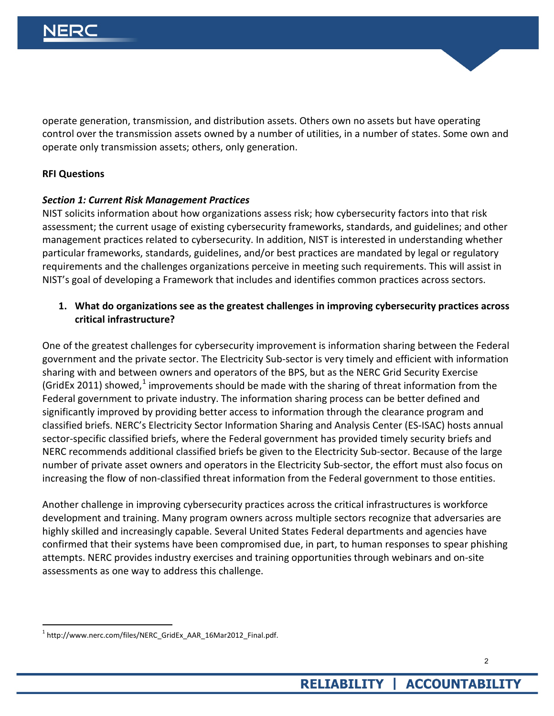operate generation, transmission, and distribution assets. Others own no assets but have operating control over the transmission assets owned by a number of utilities, in a number of states. Some own and operate only transmission assets; others, only generation.

#### **RFI Questions**

#### *Section 1: Current Risk Management Practices*

NIST solicits information about how organizations assess risk; how cybersecurity factors into that risk assessment; the current usage of existing cybersecurity frameworks, standards, and guidelines; and other management practices related to cybersecurity. In addition, NIST is interested in understanding whether particular frameworks, standards, guidelines, and/or best practices are mandated by legal or regulatory requirements and the challenges organizations perceive in meeting such requirements. This will assist in NIST's goal of developing a Framework that includes and identifies common practices across sectors.

#### **1. What do organizations see as the greatest challenges in improving cybersecurity practices across critical infrastructure?**

One of the greatest challenges for cybersecurity improvement is information sharing between the Federal government and the private sector. The Electricity Sub-sector is very timely and efficient with information sharing with and between owners and operators of the BPS, but as the NERC Grid Security Exercise (GridEx 20[1](#page-1-0)1) showed,<sup>1</sup> improvements should be made with the sharing of threat information from the Federal government to private industry. The information sharing process can be better defined and significantly improved by providing better access to information through the clearance program and classified briefs. NERC's Electricity Sector Information Sharing and Analysis Center (ES-ISAC) hosts annual sector-specific classified briefs, where the Federal government has provided timely security briefs and NERC recommends additional classified briefs be given to the Electricity Sub-sector. Because of the large number of private asset owners and operators in the Electricity Sub-sector, the effort must also focus on increasing the flow of non-classified threat information from the Federal government to those entities.

Another challenge in improving cybersecurity practices across the critical infrastructures is workforce development and training. Many program owners across multiple sectors recognize that adversaries are highly skilled and increasingly capable. Several United States Federal departments and agencies have confirmed that their systems have been compromised due, in part, to human responses to spear phishing attempts. NERC provides industry exercises and training opportunities through webinars and on-site assessments as one way to address this challenge.

.

<span id="page-1-0"></span><sup>1</sup> http://www.nerc.com/files/NERC\_GridEx\_AAR\_16Mar2012\_Final.pdf.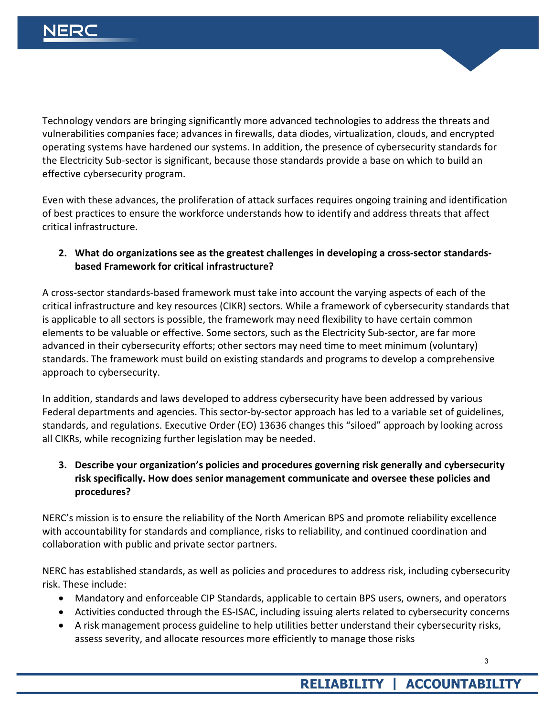Technology vendors are bringing significantly more advanced technologies to address the threats and vulnerabilities companies face; advances in firewalls, data diodes, virtualization, clouds, and encrypted operating systems have hardened our systems. In addition, the presence of cybersecurity standards for the Electricity Sub-sector is significant, because those standards provide a base on which to build an effective cybersecurity program.

Even with these advances, the proliferation of attack surfaces requires ongoing training and identification of best practices to ensure the workforce understands how to identify and address threats that affect critical infrastructure.

#### **2. What do organizations see as the greatest challenges in developing a cross-sector standardsbased Framework for critical infrastructure?**

A cross-sector standards-based framework must take into account the varying aspects of each of the critical infrastructure and key resources (CIKR) sectors. While a framework of cybersecurity standards that is applicable to all sectors is possible, the framework may need flexibility to have certain common elements to be valuable or effective. Some sectors, such as the Electricity Sub-sector, are far more advanced in their cybersecurity efforts; other sectors may need time to meet minimum (voluntary) standards. The framework must build on existing standards and programs to develop a comprehensive approach to cybersecurity.

In addition, standards and laws developed to address cybersecurity have been addressed by various Federal departments and agencies. This sector-by-sector approach has led to a variable set of guidelines, standards, and regulations. Executive Order (EO) 13636 changes this "siloed" approach by looking across all CIKRs, while recognizing further legislation may be needed.

## **3. Describe your organization's policies and procedures governing risk generally and cybersecurity risk specifically. How does senior management communicate and oversee these policies and procedures?**

NERC's mission is to ensure the reliability of the North American BPS and promote reliability excellence with accountability for standards and compliance, risks to reliability, and continued coordination and collaboration with public and private sector partners.

NERC has established standards, as well as policies and procedures to address risk, including cybersecurity risk. These include:

- Mandatory and enforceable CIP Standards, applicable to certain BPS users, owners, and operators
- Activities conducted through the ES-ISAC, including issuing alerts related to cybersecurity concerns
- A risk management process guideline to help utilities better understand their cybersecurity risks, assess severity, and allocate resources more efficiently to manage those risks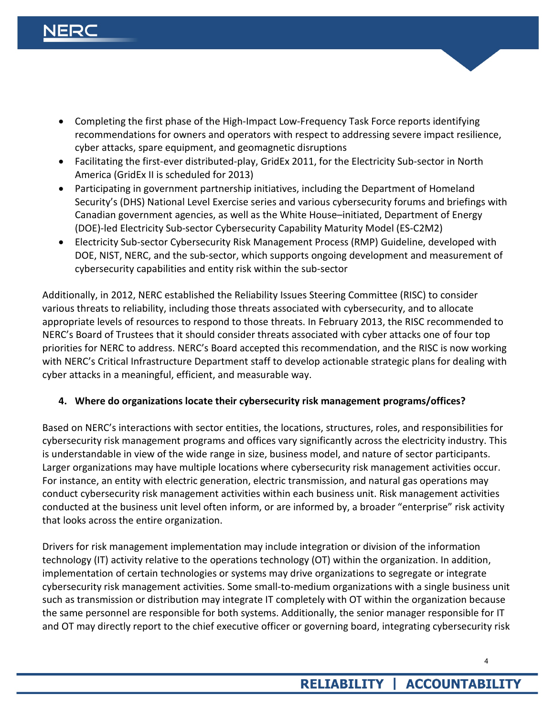- Completing the first phase of the High-Impact Low-Frequency Task Force reports identifying recommendations for owners and operators with respect to addressing severe impact resilience, cyber attacks, spare equipment, and geomagnetic disruptions
- Facilitating the first-ever distributed-play, GridEx 2011, for the Electricity Sub-sector in North America (GridEx II is scheduled for 2013)
- Participating in government partnership initiatives, including the Department of Homeland Security's (DHS) National Level Exercise series and various cybersecurity forums and briefings with Canadian government agencies, as well as the White House–initiated, Department of Energy (DOE)-led Electricity Sub-sector Cybersecurity Capability Maturity Model (ES-C2M2)
- Electricity Sub-sector Cybersecurity Risk Management Process (RMP) Guideline, developed with DOE, NIST, NERC, and the sub-sector, which supports ongoing development and measurement of cybersecurity capabilities and entity risk within the sub-sector

Additionally, in 2012, NERC established the Reliability Issues Steering Committee (RISC) to consider various threats to reliability, including those threats associated with cybersecurity, and to allocate appropriate levels of resources to respond to those threats. In February 2013, the RISC recommended to NERC's Board of Trustees that it should consider threats associated with cyber attacks one of four top priorities for NERC to address. NERC's Board accepted this recommendation, and the RISC is now working with NERC's Critical Infrastructure Department staff to develop actionable strategic plans for dealing with cyber attacks in a meaningful, efficient, and measurable way.

#### **4. Where do organizations locate their cybersecurity risk management programs/offices?**

Based on NERC's interactions with sector entities, the locations, structures, roles, and responsibilities for cybersecurity risk management programs and offices vary significantly across the electricity industry. This is understandable in view of the wide range in size, business model, and nature of sector participants. Larger organizations may have multiple locations where cybersecurity risk management activities occur. For instance, an entity with electric generation, electric transmission, and natural gas operations may conduct cybersecurity risk management activities within each business unit. Risk management activities conducted at the business unit level often inform, or are informed by, a broader "enterprise" risk activity that looks across the entire organization.

Drivers for risk management implementation may include integration or division of the information technology (IT) activity relative to the operations technology (OT) within the organization. In addition, implementation of certain technologies or systems may drive organizations to segregate or integrate cybersecurity risk management activities. Some small-to-medium organizations with a single business unit such as transmission or distribution may integrate IT completely with OT within the organization because the same personnel are responsible for both systems. Additionally, the senior manager responsible for IT and OT may directly report to the chief executive officer or governing board, integrating cybersecurity risk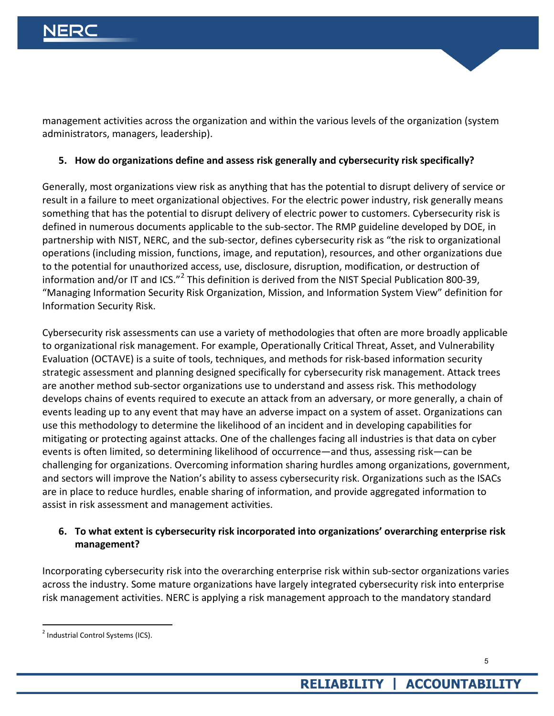

management activities across the organization and within the various levels of the organization (system administrators, managers, leadership).

#### **5. How do organizations define and assess risk generally and cybersecurity risk specifically?**

Generally, most organizations view risk as anything that has the potential to disrupt delivery of service or result in a failure to meet organizational objectives. For the electric power industry, risk generally means something that has the potential to disrupt delivery of electric power to customers. Cybersecurity risk is defined in numerous documents applicable to the sub-sector. The RMP guideline developed by DOE, in partnership with NIST, NERC, and the sub-sector, defines cybersecurity risk as "the risk to organizational operations (including mission, functions, image, and reputation), resources, and other organizations due to the potential for unauthorized access, use, disclosure, disruption, modification, or destruction of information and/or IT and ICS."<sup>[2](#page-4-0)</sup> This definition is derived from the NIST Special Publication 800-39, "Managing Information Security Risk Organization, Mission, and Information System View" definition for Information Security Risk.

Cybersecurity risk assessments can use a variety of methodologies that often are more broadly applicable to organizational risk management. For example, Operationally Critical Threat, Asset, and Vulnerability Evaluation (OCTAVE) is a suite of tools, techniques, and methods for risk-based information security strategic assessment and planning designed specifically for cybersecurity risk management. Attack trees are another method sub-sector organizations use to understand and assess risk. This methodology develops chains of events required to execute an attack from an adversary, or more generally, a chain of events leading up to any event that may have an adverse impact on a system of asset. Organizations can use this methodology to determine the likelihood of an incident and in developing capabilities for mitigating or protecting against attacks. One of the challenges facing all industries is that data on cyber events is often limited, so determining likelihood of occurrence—and thus, assessing risk—can be challenging for organizations. Overcoming information sharing hurdles among organizations, government, and sectors will improve the Nation's ability to assess cybersecurity risk. Organizations such as the ISACs are in place to reduce hurdles, enable sharing of information, and provide aggregated information to assist in risk assessment and management activities.

#### **6. To what extent is cybersecurity risk incorporated into organizations' overarching enterprise risk management?**

Incorporating cybersecurity risk into the overarching enterprise risk within sub-sector organizations varies across the industry. Some mature organizations have largely integrated cybersecurity risk into enterprise risk management activities. NERC is applying a risk management approach to the mandatory standard

.

<span id="page-4-0"></span> $2$  Industrial Control Systems (ICS).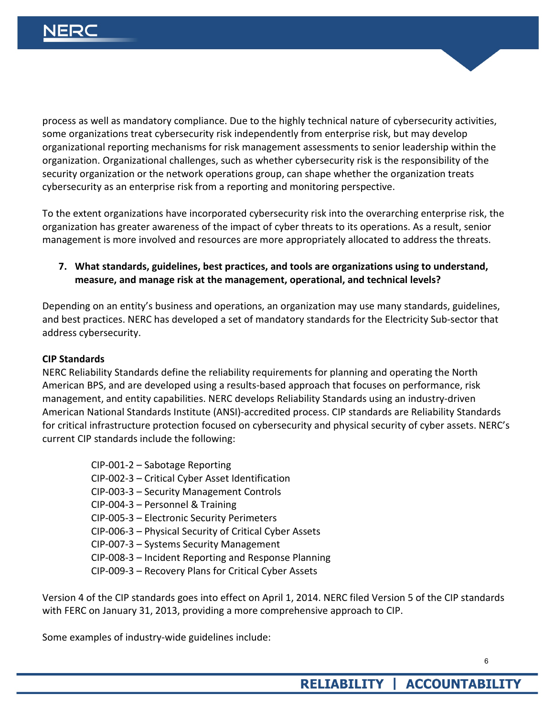

process as well as mandatory compliance. Due to the highly technical nature of cybersecurity activities, some organizations treat cybersecurity risk independently from enterprise risk, but may develop organizational reporting mechanisms for risk management assessments to senior leadership within the organization. Organizational challenges, such as whether cybersecurity risk is the responsibility of the security organization or the network operations group, can shape whether the organization treats cybersecurity as an enterprise risk from a reporting and monitoring perspective.

To the extent organizations have incorporated cybersecurity risk into the overarching enterprise risk, the organization has greater awareness of the impact of cyber threats to its operations. As a result, senior management is more involved and resources are more appropriately allocated to address the threats.

**7. What standards, guidelines, best practices, and tools are organizations using to understand, measure, and manage risk at the management, operational, and technical levels?**

Depending on an entity's business and operations, an organization may use many standards, guidelines, and best practices. NERC has developed a set of mandatory standards for the Electricity Sub-sector that address cybersecurity.

#### **CIP Standards**

NERC Reliability Standards define the reliability requirements for planning and operating the North American BPS, and are developed using a results-based approach that focuses on performance, risk management, and entity capabilities. NERC develops Reliability Standards using an industry-driven American National Standards Institute (ANSI)-accredited process. CIP standards are Reliability Standards for critical infrastructure protection focused on cybersecurity and physical security of cyber assets. NERC's current CIP standards include the following:

CIP-001-2 – Sabotage Reporting CIP-002-3 – Critical Cyber Asset Identification CIP-003-3 – Security Management Controls CIP-004-3 – Personnel & Training CIP-005-3 – Electronic Security Perimeters CIP-006-3 – Physical Security of Critical Cyber Assets CIP-007-3 – Systems Security Management CIP-008-3 – Incident Reporting and Response Planning CIP-009-3 – Recovery Plans for Critical Cyber Assets

Version 4 of the CIP standards goes into effect on April 1, 2014. NERC filed Version 5 of the CIP standards with FERC on January 31, 2013, providing a more comprehensive approach to CIP.

Some examples of industry-wide guidelines include: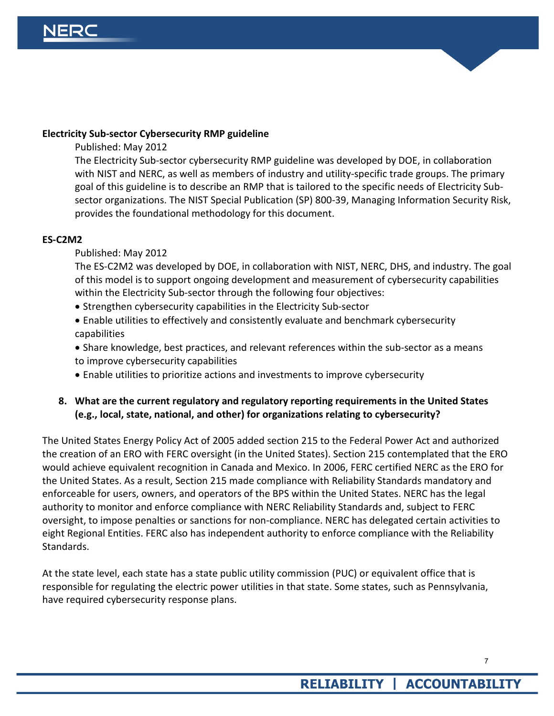#### **Electricity Sub-sector Cybersecurity RMP guideline**

Published: May 2012

The Electricity Sub-sector cybersecurity RMP guideline was developed by DOE, in collaboration with NIST and NERC, as well as members of industry and utility-specific trade groups. The primary goal of this guideline is to describe an RMP that is tailored to the specific needs of Electricity Subsector organizations. The NIST Special Publication (SP) 800-39, Managing Information Security Risk, provides the foundational methodology for this document.

#### **ES-C2M2**

#### Published: May 2012

The ES-C2M2 was developed by DOE, in collaboration with NIST, NERC, DHS, and industry. The goal of this model is to support ongoing development and measurement of cybersecurity capabilities within the Electricity Sub-sector through the following four objectives:

- Strengthen cybersecurity capabilities in the Electricity Sub-sector
- Enable utilities to effectively and consistently evaluate and benchmark cybersecurity capabilities
- Share knowledge, best practices, and relevant references within the sub-sector as a means to improve cybersecurity capabilities
- Enable utilities to prioritize actions and investments to improve cybersecurity

#### **8. What are the current regulatory and regulatory reporting requirements in the United States (e.g., local, state, national, and other) for organizations relating to cybersecurity?**

The United States Energy Policy Act of 2005 added section 215 to the Federal Power Act and authorized the creation of an ERO with FERC oversight (in the United States). Section 215 contemplated that the ERO would achieve equivalent recognition in Canada and Mexico. In 2006, FERC certified NERC as the ERO for the United States. As a result, Section 215 made compliance with Reliability Standards mandatory and enforceable for users, owners, and operators of the BPS within the United States. NERC has the legal authority to monitor and enforce compliance with NERC Reliability Standards and, subject to FERC oversight, to impose penalties or sanctions for non-compliance. NERC has delegated certain activities to eight Regional Entities. FERC also has independent authority to enforce compliance with the Reliability Standards.

At the state level, each state has a state public utility commission (PUC) or equivalent office that is responsible for regulating the electric power utilities in that state. Some states, such as Pennsylvania, have required cybersecurity response plans.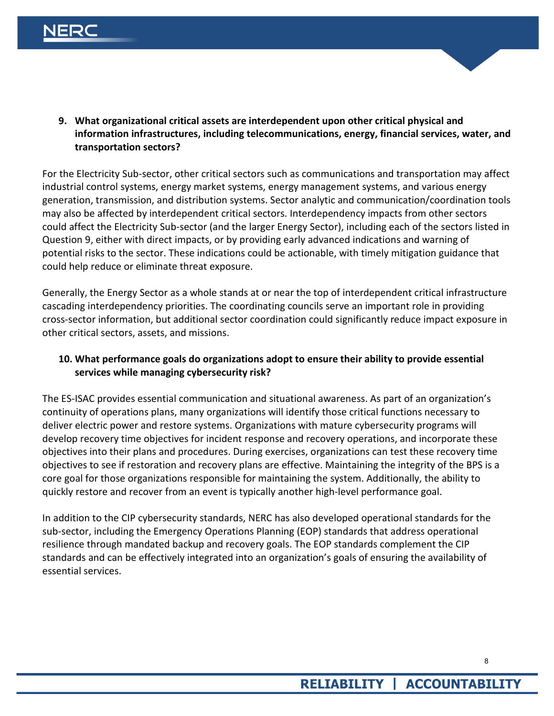

**9. What organizational critical assets are interdependent upon other critical physical and information infrastructures, including telecommunications, energy, financial services, water, and transportation sectors?**

For the Electricity Sub-sector, other critical sectors such as communications and transportation may affect industrial control systems, energy market systems, energy management systems, and various energy generation, transmission, and distribution systems. Sector analytic and communication/coordination tools may also be affected by interdependent critical sectors. Interdependency impacts from other sectors could affect the Electricity Sub-sector (and the larger Energy Sector), including each of the sectors listed in Question 9, either with direct impacts, or by providing early advanced indications and warning of potential risks to the sector. These indications could be actionable, with timely mitigation guidance that could help reduce or eliminate threat exposure.

Generally, the Energy Sector as a whole stands at or near the top of interdependent critical infrastructure cascading interdependency priorities. The coordinating councils serve an important role in providing cross-sector information, but additional sector coordination could significantly reduce impact exposure in other critical sectors, assets, and missions.

#### **10. What performance goals do organizations adopt to ensure their ability to provide essential services while managing cybersecurity risk?**

The ES-ISAC provides essential communication and situational awareness. As part of an organization's continuity of operations plans, many organizations will identify those critical functions necessary to deliver electric power and restore systems. Organizations with mature cybersecurity programs will develop recovery time objectives for incident response and recovery operations, and incorporate these objectives into their plans and procedures. During exercises, organizations can test these recovery time objectives to see if restoration and recovery plans are effective. Maintaining the integrity of the BPS is a core goal for those organizations responsible for maintaining the system. Additionally, the ability to quickly restore and recover from an event is typically another high-level performance goal.

In addition to the CIP cybersecurity standards, NERC has also developed operational standards for the sub-sector, including the Emergency Operations Planning (EOP) standards that address operational resilience through mandated backup and recovery goals. The EOP standards complement the CIP standards and can be effectively integrated into an organization's goals of ensuring the availability of essential services.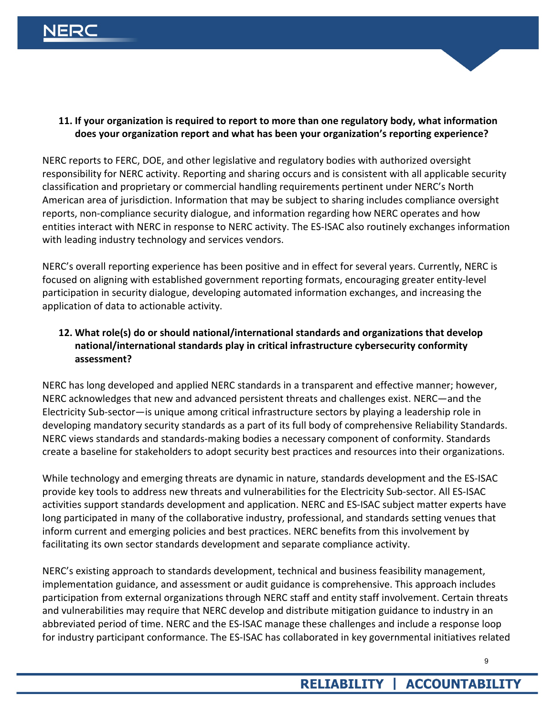

NERC reports to FERC, DOE, and other legislative and regulatory bodies with authorized oversight responsibility for NERC activity. Reporting and sharing occurs and is consistent with all applicable security classification and proprietary or commercial handling requirements pertinent under NERC's North American area of jurisdiction. Information that may be subject to sharing includes compliance oversight reports, non-compliance security dialogue, and information regarding how NERC operates and how entities interact with NERC in response to NERC activity. The ES-ISAC also routinely exchanges information with leading industry technology and services vendors.

NERC's overall reporting experience has been positive and in effect for several years. Currently, NERC is focused on aligning with established government reporting formats, encouraging greater entity-level participation in security dialogue, developing automated information exchanges, and increasing the application of data to actionable activity.

### **12. What role(s) do or should national/international standards and organizations that develop national/international standards play in critical infrastructure cybersecurity conformity assessment?**

NERC has long developed and applied NERC standards in a transparent and effective manner; however, NERC acknowledges that new and advanced persistent threats and challenges exist. NERC—and the Electricity Sub-sector—is unique among critical infrastructure sectors by playing a leadership role in developing mandatory security standards as a part of its full body of comprehensive Reliability Standards. NERC views standards and standards-making bodies a necessary component of conformity. Standards create a baseline for stakeholders to adopt security best practices and resources into their organizations.

While technology and emerging threats are dynamic in nature, standards development and the ES-ISAC provide key tools to address new threats and vulnerabilities for the Electricity Sub-sector. All ES-ISAC activities support standards development and application. NERC and ES-ISAC subject matter experts have long participated in many of the collaborative industry, professional, and standards setting venues that inform current and emerging policies and best practices. NERC benefits from this involvement by facilitating its own sector standards development and separate compliance activity.

NERC's existing approach to standards development, technical and business feasibility management, implementation guidance, and assessment or audit guidance is comprehensive. This approach includes participation from external organizations through NERC staff and entity staff involvement. Certain threats and vulnerabilities may require that NERC develop and distribute mitigation guidance to industry in an abbreviated period of time. NERC and the ES-ISAC manage these challenges and include a response loop for industry participant conformance. The ES-ISAC has collaborated in key governmental initiatives related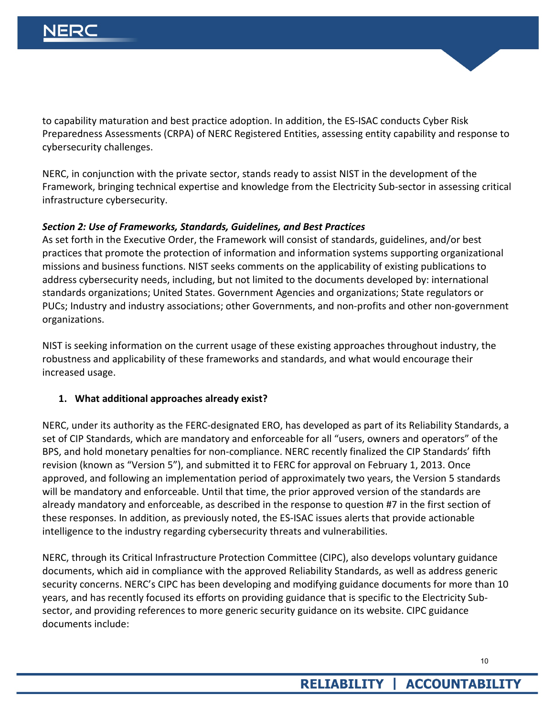

NERC, in conjunction with the private sector, stands ready to assist NIST in the development of the Framework, bringing technical expertise and knowledge from the Electricity Sub-sector in assessing critical infrastructure cybersecurity.

#### *Section 2: Use of Frameworks, Standards, Guidelines, and Best Practices*

As set forth in the Executive Order, the Framework will consist of standards, guidelines, and/or best practices that promote the protection of information and information systems supporting organizational missions and business functions. NIST seeks comments on the applicability of existing publications to address cybersecurity needs, including, but not limited to the documents developed by: international standards organizations; United States. Government Agencies and organizations; State regulators or PUCs; Industry and industry associations; other Governments, and non-profits and other non-government organizations.

NIST is seeking information on the current usage of these existing approaches throughout industry, the robustness and applicability of these frameworks and standards, and what would encourage their increased usage.

#### **1. What additional approaches already exist?**

NERC, under its authority as the FERC-designated ERO, has developed as part of its Reliability Standards, a set of CIP Standards, which are mandatory and enforceable for all "users, owners and operators" of the BPS, and hold monetary penalties for non-compliance. NERC recently finalized the CIP Standards' fifth revision (known as "Version 5"), and submitted it to FERC for approval on February 1, 2013. Once approved, and following an implementation period of approximately two years, the Version 5 standards will be mandatory and enforceable. Until that time, the prior approved version of the standards are already mandatory and enforceable, as described in the response to question #7 in the first section of these responses. In addition, as previously noted, the ES-ISAC issues alerts that provide actionable intelligence to the industry regarding cybersecurity threats and vulnerabilities.

NERC, through its Critical Infrastructure Protection Committee (CIPC), also develops voluntary guidance documents, which aid in compliance with the approved Reliability Standards, as well as address generic security concerns. NERC's CIPC has been developing and modifying guidance documents for more than 10 years, and has recently focused its efforts on providing guidance that is specific to the Electricity Subsector, and providing references to more generic security guidance on its website. CIPC guidance documents include: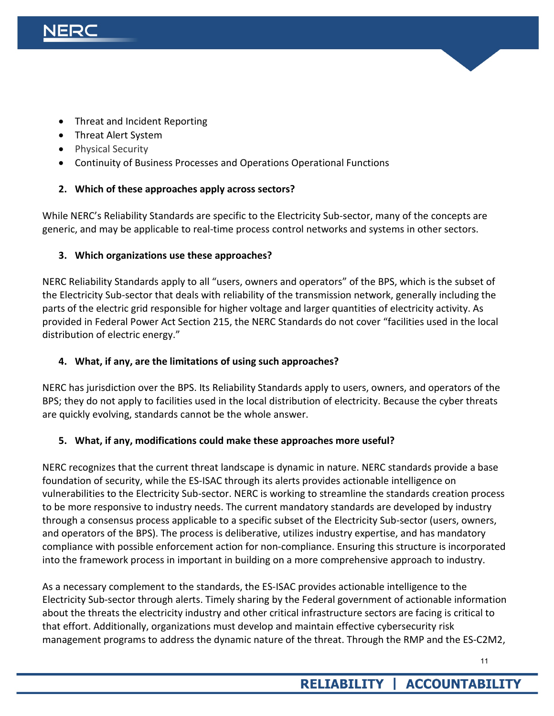- [Threat and Incident Reporting](http://www.nerc.com/files/Incident-Reporting.pdf)
- [Threat Alert System](http://www.nerc.com/files/Threat-Alert-System.pdf)
- Physical Security
- Continuity of Business Processes and Operations Operational Functions

### **2. Which of these approaches apply across sectors?**

While NERC's Reliability Standards are specific to the Electricity Sub-sector, many of the concepts are generic, and may be applicable to real-time process control networks and systems in other sectors.

### **3. Which organizations use these approaches?**

NERC Reliability Standards apply to all "users, owners and operators" of the BPS, which is the subset of the Electricity Sub-sector that deals with reliability of the transmission network, generally including the parts of the electric grid responsible for higher voltage and larger quantities of electricity activity. As provided in Federal Power Act Section 215, the NERC Standards do not cover "facilities used in the local distribution of electric energy."

#### **4. What, if any, are the limitations of using such approaches?**

NERC has jurisdiction over the BPS. Its Reliability Standards apply to users, owners, and operators of the BPS; they do not apply to facilities used in the local distribution of electricity. Because the cyber threats are quickly evolving, standards cannot be the whole answer.

#### **5. What, if any, modifications could make these approaches more useful?**

NERC recognizes that the current threat landscape is dynamic in nature. NERC standards provide a base foundation of security, while the ES-ISAC through its alerts provides actionable intelligence on vulnerabilities to the Electricity Sub-sector. NERC is working to streamline the standards creation process to be more responsive to industry needs. The current mandatory standards are developed by industry through a consensus process applicable to a specific subset of the Electricity Sub-sector (users, owners, and operators of the BPS). The process is deliberative, utilizes industry expertise, and has mandatory compliance with possible enforcement action for non-compliance. Ensuring this structure is incorporated into the framework process in important in building on a more comprehensive approach to industry.

As a necessary complement to the standards, the ES-ISAC provides actionable intelligence to the Electricity Sub-sector through alerts. Timely sharing by the Federal government of actionable information about the threats the electricity industry and other critical infrastructure sectors are facing is critical to that effort. Additionally, organizations must develop and maintain effective cybersecurity risk management programs to address the dynamic nature of the threat. Through the RMP and the ES-C2M2,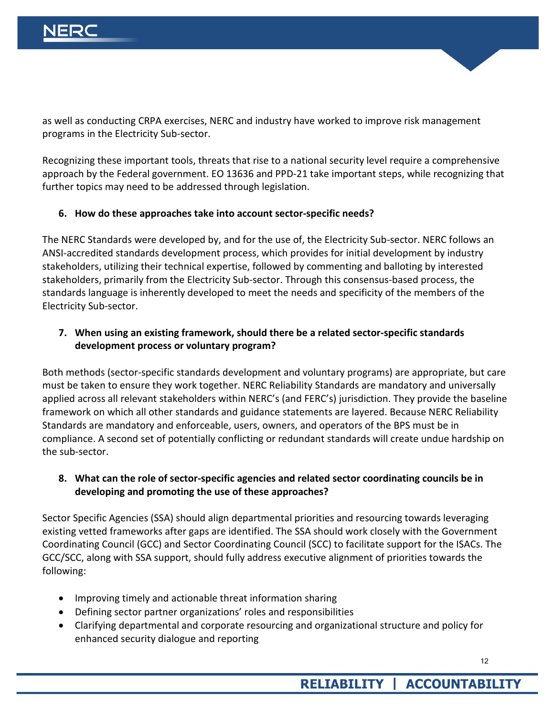

as well as conducting CRPA exercises, NERC and industry have worked to improve risk management programs in the Electricity Sub-sector.

Recognizing these important tools, threats that rise to a national security level require a comprehensive approach by the Federal government. EO 13636 and PPD-21 take important steps, while recognizing that further topics may need to be addressed through legislation.

#### **6. How do these approaches take into account sector-specific needs?**

The NERC Standards were developed by, and for the use of, the Electricity Sub-sector. NERC follows an ANSI-accredited standards development process, which provides for initial development by industry stakeholders, utilizing their technical expertise, followed by commenting and balloting by interested stakeholders, primarily from the Electricity Sub-sector. Through this consensus-based process, the standards language is inherently developed to meet the needs and specificity of the members of the Electricity Sub-sector.

#### **7. When using an existing framework, should there be a related sector-specific standards development process or voluntary program?**

Both methods (sector-specific standards development and voluntary programs) are appropriate, but care must be taken to ensure they work together. NERC Reliability Standards are mandatory and universally applied across all relevant stakeholders within NERC's (and FERC's) jurisdiction. They provide the baseline framework on which all other standards and guidance statements are layered. Because NERC Reliability Standards are mandatory and enforceable, users, owners, and operators of the BPS must be in compliance. A second set of potentially conflicting or redundant standards will create undue hardship on the sub-sector.

### **8. What can the role of sector-specific agencies and related sector coordinating councils be in developing and promoting the use of these approaches?**

Sector Specific Agencies (SSA) should align departmental priorities and resourcing towards leveraging existing vetted frameworks after gaps are identified. The SSA should work closely with the Government Coordinating Council (GCC) and Sector Coordinating Council (SCC) to facilitate support for the ISACs. The GCC/SCC, along with SSA support, should fully address executive alignment of priorities towards the following:

- Improving timely and actionable threat information sharing
- Defining sector partner organizations' roles and responsibilities
- Clarifying departmental and corporate resourcing and organizational structure and policy for enhanced security dialogue and reporting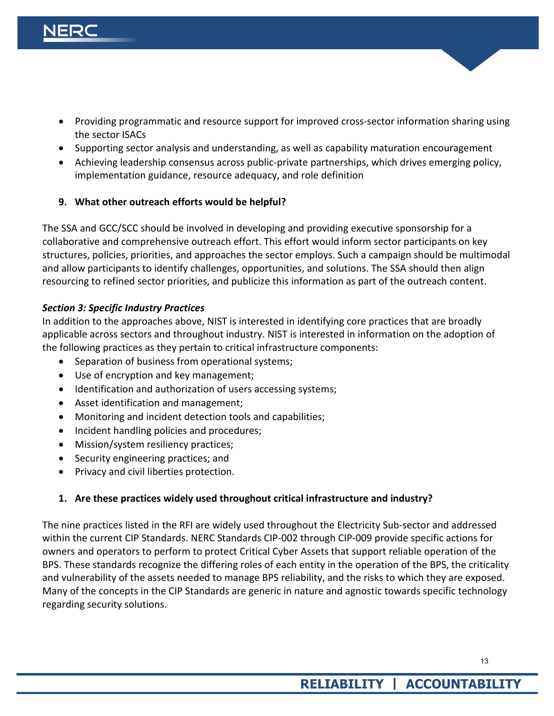- Providing programmatic and resource support for improved cross-sector information sharing using the sector ISACs
- Supporting sector analysis and understanding, as well as capability maturation encouragement
- Achieving leadership consensus across public-private partnerships, which drives emerging policy, implementation guidance, resource adequacy, and role definition

#### **9. What other outreach efforts would be helpful?**

The SSA and GCC/SCC should be involved in developing and providing executive sponsorship for a collaborative and comprehensive outreach effort. This effort would inform sector participants on key structures, policies, priorities, and approaches the sector employs. Such a campaign should be multimodal and allow participants to identify challenges, opportunities, and solutions. The SSA should then align resourcing to refined sector priorities, and publicize this information as part of the outreach content.

### *Section 3: Specific Industry Practices*

In addition to the approaches above, NIST is interested in identifying core practices that are broadly applicable across sectors and throughout industry. NIST is interested in information on the adoption of the following practices as they pertain to critical infrastructure components:

- Separation of business from operational systems;
- Use of encryption and key management;
- Identification and authorization of users accessing systems;
- Asset identification and management;
- Monitoring and incident detection tools and capabilities;
- Incident handling policies and procedures;
- Mission/system resiliency practices;
- Security engineering practices; and
- Privacy and civil liberties protection.

## **1. Are these practices widely used throughout critical infrastructure and industry?**

The nine practices listed in the RFI are widely used throughout the Electricity Sub-sector and addressed within the current CIP Standards. NERC Standards CIP-002 through CIP-009 provide specific actions for owners and operators to perform to protect Critical Cyber Assets that support reliable operation of the BPS. These standards recognize the differing roles of each entity in the operation of the BPS, the criticality and vulnerability of the assets needed to manage BPS reliability, and the risks to which they are exposed. Many of the concepts in the CIP Standards are generic in nature and agnostic towards specific technology regarding security solutions.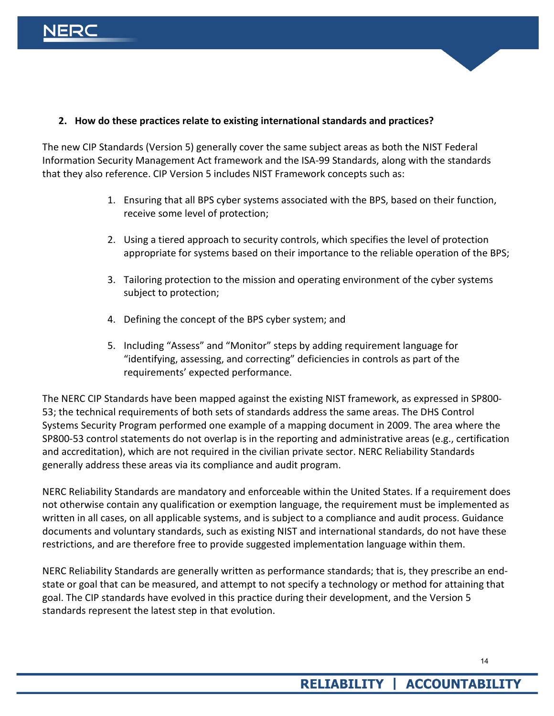

#### **2. How do these practices relate to existing international standards and practices?**

The new CIP Standards (Version 5) generally cover the same subject areas as both the NIST Federal Information Security Management Act framework and the ISA-99 Standards, along with the standards that they also reference. CIP Version 5 includes NIST Framework concepts such as:

- 1. Ensuring that all BPS cyber systems associated with the BPS, based on their function, receive some level of protection;
- 2. Using a tiered approach to security controls, which specifies the level of protection appropriate for systems based on their importance to the reliable operation of the BPS;
- 3. Tailoring protection to the mission and operating environment of the cyber systems subject to protection;
- 4. Defining the concept of the BPS cyber system; and
- 5. Including "Assess" and "Monitor" steps by adding requirement language for "identifying, assessing, and correcting" deficiencies in controls as part of the requirements' expected performance.

The NERC CIP Standards have been mapped against the existing NIST framework, as expressed in SP800- 53; the technical requirements of both sets of standards address the same areas. The DHS Control Systems Security Program performed one example of a mapping document in 2009. The area where the SP800-53 control statements do not overlap is in the reporting and administrative areas (e.g., certification and accreditation), which are not required in the civilian private sector. NERC Reliability Standards generally address these areas via its compliance and audit program.

NERC Reliability Standards are mandatory and enforceable within the United States. If a requirement does not otherwise contain any qualification or exemption language, the requirement must be implemented as written in all cases, on all applicable systems, and is subject to a compliance and audit process. Guidance documents and voluntary standards, such as existing NIST and international standards, do not have these restrictions, and are therefore free to provide suggested implementation language within them.

NERC Reliability Standards are generally written as performance standards; that is, they prescribe an endstate or goal that can be measured, and attempt to not specify a technology or method for attaining that goal. The CIP standards have evolved in this practice during their development, and the Version 5 standards represent the latest step in that evolution.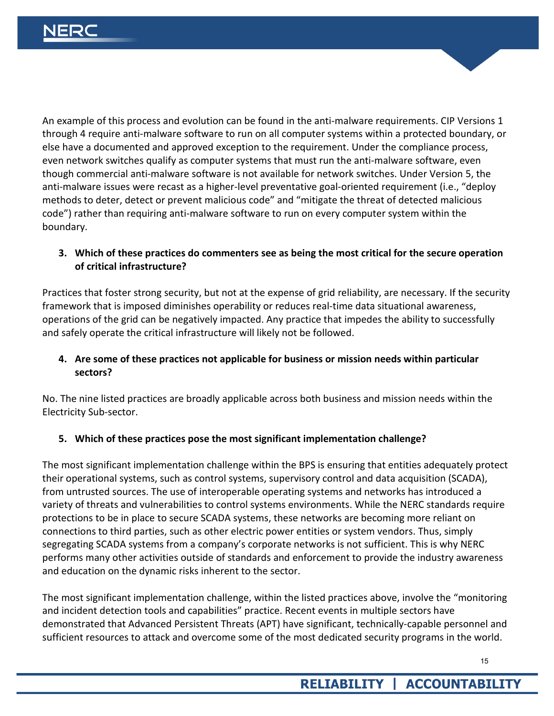An example of this process and evolution can be found in the anti-malware requirements. CIP Versions 1 through 4 require anti-malware software to run on all computer systems within a protected boundary, or else have a documented and approved exception to the requirement. Under the compliance process, even network switches qualify as computer systems that must run the anti-malware software, even though commercial anti-malware software is not available for network switches. Under Version 5, the anti-malware issues were recast as a higher-level preventative goal-oriented requirement (i.e., "deploy methods to deter, detect or prevent malicious code" and "mitigate the threat of detected malicious code") rather than requiring anti-malware software to run on every computer system within the boundary.

#### **3. Which of these practices do commenters see as being the most critical for the secure operation of critical infrastructure?**

Practices that foster strong security, but not at the expense of grid reliability, are necessary. If the security framework that is imposed diminishes operability or reduces real-time data situational awareness, operations of the grid can be negatively impacted. Any practice that impedes the ability to successfully and safely operate the critical infrastructure will likely not be followed.

#### **4. Are some of these practices not applicable for business or mission needs within particular sectors?**

No. The nine listed practices are broadly applicable across both business and mission needs within the Electricity Sub-sector.

## **5. Which of these practices pose the most significant implementation challenge?**

The most significant implementation challenge within the BPS is ensuring that entities adequately protect their operational systems, such as control systems, supervisory control and data acquisition (SCADA), from untrusted sources. The use of interoperable operating systems and networks has introduced a variety of threats and vulnerabilities to control systems environments. While the NERC standards require protections to be in place to secure SCADA systems, these networks are becoming more reliant on connections to third parties, such as other electric power entities or system vendors. Thus, simply segregating SCADA systems from a company's corporate networks is not sufficient. This is why NERC performs many other activities outside of standards and enforcement to provide the industry awareness and education on the dynamic risks inherent to the sector.

The most significant implementation challenge, within the listed practices above, involve the "monitoring and incident detection tools and capabilities" practice. Recent events in multiple sectors have demonstrated that Advanced Persistent Threats (APT) have significant, technically-capable personnel and sufficient resources to attack and overcome some of the most dedicated security programs in the world.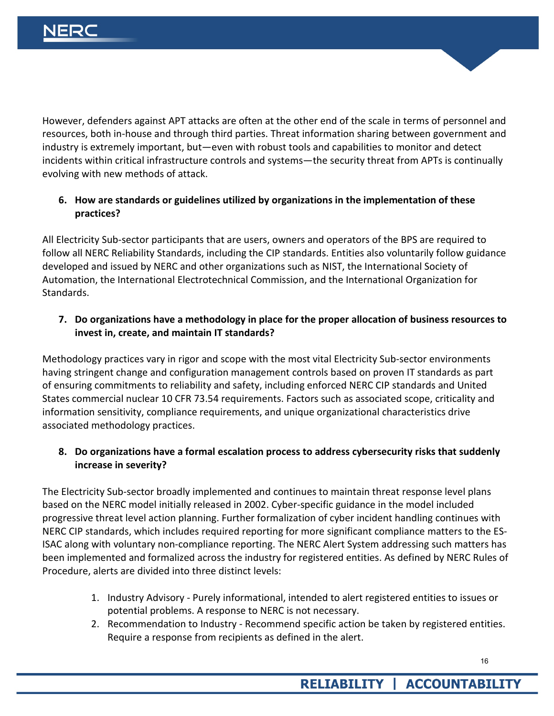However, defenders against APT attacks are often at the other end of the scale in terms of personnel and resources, both in-house and through third parties. Threat information sharing between government and industry is extremely important, but—even with robust tools and capabilities to monitor and detect incidents within critical infrastructure controls and systems—the security threat from APTs is continually evolving with new methods of attack.

## **6. How are standards or guidelines utilized by organizations in the implementation of these practices?**

All Electricity Sub-sector participants that are users, owners and operators of the BPS are required to follow all NERC Reliability Standards, including the CIP standards. Entities also voluntarily follow guidance developed and issued by NERC and other organizations such as NIST, the International Society of Automation, the International Electrotechnical Commission, and the International Organization for Standards.

### **7. Do organizations have a methodology in place for the proper allocation of business resources to invest in, create, and maintain IT standards?**

Methodology practices vary in rigor and scope with the most vital Electricity Sub-sector environments having stringent change and configuration management controls based on proven IT standards as part of ensuring commitments to reliability and safety, including enforced NERC CIP standards and United States commercial nuclear 10 CFR 73.54 requirements. Factors such as associated scope, criticality and information sensitivity, compliance requirements, and unique organizational characteristics drive associated methodology practices.

### **8. Do organizations have a formal escalation process to address cybersecurity risks that suddenly increase in severity?**

The Electricity Sub-sector broadly implemented and continues to maintain threat response level plans based on the NERC model initially released in 2002. Cyber-specific guidance in the model included progressive threat level action planning. Further formalization of cyber incident handling continues with NERC CIP standards, which includes required reporting for more significant compliance matters to the ES-ISAC along with voluntary non-compliance reporting. The NERC Alert System addressing such matters has been implemented and formalized across the industry for registered entities. As defined by NERC Rules of Procedure, alerts are divided into three distinct levels:

- 1. Industry Advisory Purely informational, intended to alert registered entities to issues or potential problems. A response to NERC is not necessary.
- 2. Recommendation to Industry Recommend specific action be taken by registered entities. Require a response from recipients as defined in the alert.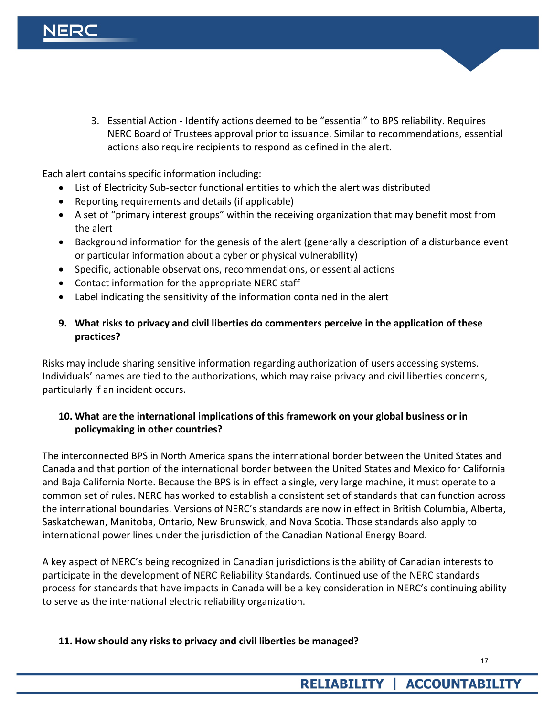3. Essential Action - Identify actions deemed to be "essential" to BPS reliability. Requires NERC Board of Trustees approval prior to issuance. Similar to recommendations, essential actions also require recipients to respond as defined in the alert.

Each alert contains specific information including:

- List of Electricity Sub-sector functional entities to which the alert was distributed
- Reporting requirements and details (if applicable)
- A set of "primary interest groups" within the receiving organization that may benefit most from the alert
- Background information for the genesis of the alert (generally a description of a disturbance event or particular information about a cyber or physical vulnerability)
- Specific, actionable observations, recommendations, or essential actions
- Contact information for the appropriate NERC staff
- Label indicating the sensitivity of the information contained in the alert

#### **9. What risks to privacy and civil liberties do commenters perceive in the application of these practices?**

Risks may include sharing sensitive information regarding authorization of users accessing systems. Individuals' names are tied to the authorizations, which may raise privacy and civil liberties concerns, particularly if an incident occurs.

#### **10. What are the international implications of this framework on your global business or in policymaking in other countries?**

The interconnected BPS in North America spans the international border between the United States and Canada and that portion of the international border between the United States and Mexico for California and Baja California Norte. Because the BPS is in effect a single, very large machine, it must operate to a common set of rules. NERC has worked to establish a consistent set of standards that can function across the international boundaries. Versions of NERC's standards are now in effect in British Columbia, Alberta, Saskatchewan, Manitoba, Ontario, New Brunswick, and Nova Scotia. Those standards also apply to international power lines under the jurisdiction of the Canadian National Energy Board.

A key aspect of NERC's being recognized in Canadian jurisdictions is the ability of Canadian interests to participate in the development of NERC Reliability Standards. Continued use of the NERC standards process for standards that have impacts in Canada will be a key consideration in NERC's continuing ability to serve as the international electric reliability organization.

#### **11. How should any risks to privacy and civil liberties be managed?**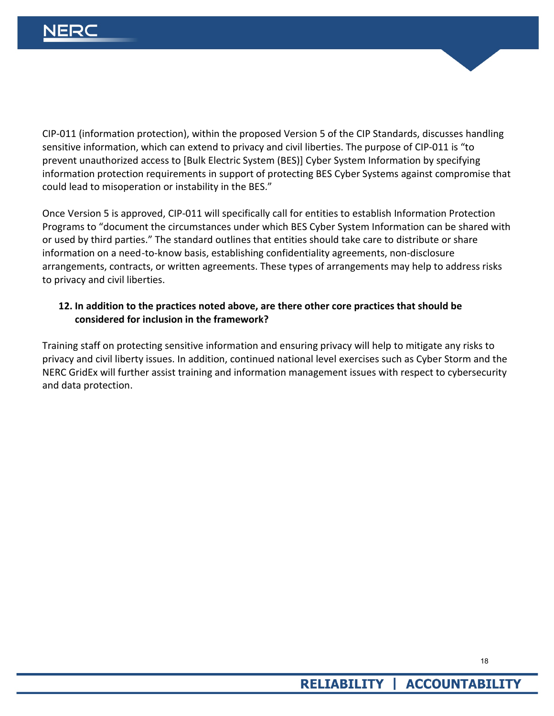CIP-011 (information protection), within the proposed Version 5 of the CIP Standards, discusses handling sensitive information, which can extend to privacy and civil liberties. The purpose of CIP-011 is "to prevent unauthorized access to [Bulk Electric System (BES)] Cyber System Information by specifying information protection requirements in support of protecting BES Cyber Systems against compromise that could lead to misoperation or instability in the BES."

Once Version 5 is approved, CIP-011 will specifically call for entities to establish Information Protection Programs to "document the circumstances under which BES Cyber System Information can be shared with or used by third parties." The standard outlines that entities should take care to distribute or share information on a need-to-know basis, establishing confidentiality agreements, non-disclosure arrangements, contracts, or written agreements. These types of arrangements may help to address risks to privacy and civil liberties.

#### **12. In addition to the practices noted above, are there other core practices that should be considered for inclusion in the framework?**

Training staff on protecting sensitive information and ensuring privacy will help to mitigate any risks to privacy and civil liberty issues. In addition, continued national level exercises such as Cyber Storm and the NERC GridEx will further assist training and information management issues with respect to cybersecurity and data protection.